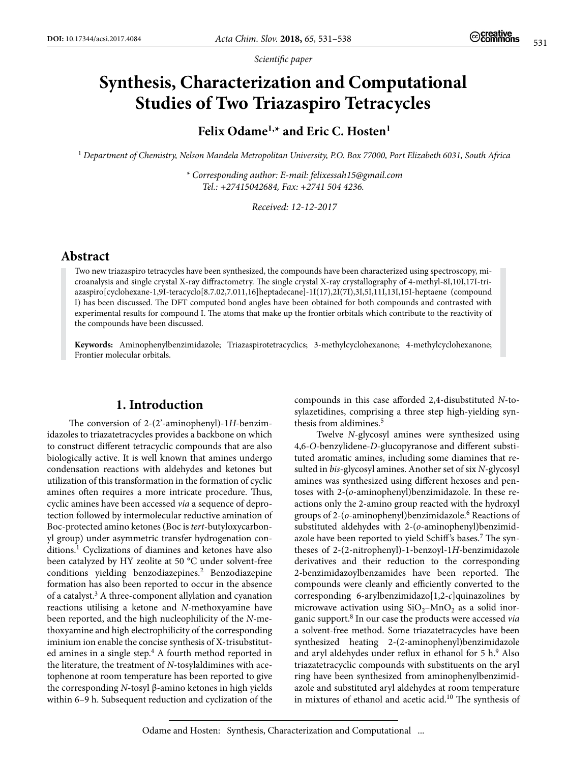*Scientific paper*

# **Synthesis, Characterization and Computational Studies of Two Triazaspiro Tetracycles**

**Felix Odame1,\* and Eric C. Hosten1**

<sup>1</sup> *Department of Chemistry, Nelson Mandela Metropolitan University, P.O. Box 77000, Port Elizabeth 6031, South Africa*

*\* Corresponding author: E-mail: [felixessah15@gmail.com](mailto:felixessah15@gmail.com)  Tel.: +27415042684, Fax: +2741 504 4236.*

*Received: 12-12-2017*

# **Abstract**

Two new triazaspiro tetracycles have been synthesized, the compounds have been characterized using spectroscopy, microanalysis and single crystal X-ray diffractometry. The single crystal X-ray crystallography of 4-methyl-8I,10I,17I-triazaspiro[cyclohexane-1,9I-teracyclo[8.7.02,7.011,16]heptadecane]-1I(17),2I(7I),3I,5I,11I,13I,15I-heptaene (compound I) has been discussed. The DFT computed bond angles have been obtained for both compounds and contrasted with experimental results for compound I. The atoms that make up the frontier orbitals which contribute to the reactivity of the compounds have been discussed.

**Keywords:** Aminophenylbenzimidazole; Triazaspirotetracyclics; 3-methylcyclohexanone; 4-methylcyclohexanone; Frontier molecular orbitals.

### **1. Introduction**

The conversion of 2-(2'-aminophenyl)-1*H*-benzimidazoles to triazatetracycles provides a backbone on which to construct different tetracyclic compounds that are also biologically active. It is well known that amines undergo condensation reactions with aldehydes and ketones but utilization of this transformation in the formation of cyclic amines often requires a more intricate procedure. Thus, cyclic amines have been accessed *via* a sequence of deprotection followed by intermolecular reductive amination of Boc-protected amino ketones (Boc is *tert*-butyloxycarbonyl group) under asymmetric transfer hydrogenation conditions.1 Cyclizations of diamines and ketones have also been catalyzed by HY zeolite at 50 °C under solvent-free conditions yielding benzodiazepines.2 Benzodiazepine formation has also been reported to occur in the absence of a catalyst.<sup>3</sup> A three-component allylation and cyanation reactions utilising a ketone and *N*-methoxyamine have been reported, and the high nucleophilicity of the *N*-methoxyamine and high electrophilicity of the corresponding iminium ion enable the concise synthesis of X-trisubstituted amines in a single step. $4$  A fourth method reported in the literature, the treatment of *N*-tosylaldimines with acetophenone at room temperature has been reported to give the corresponding *N*-tosyl β-amino ketones in high yields within 6–9 h. Subsequent reduction and cyclization of the

compounds in this case afforded 2,4-disubstituted *N*-tosylazetidines, comprising a three step high-yielding synthesis from aldimines.<sup>5</sup>

Twelve *N*-glycosyl amines were synthesized using 4,6-*O*-benzylidene-*D*-glucopyranose and different substituted aromatic amines, including some diamines that resulted in *bis*-glycosyl amines. Another set of six *N*-glycosyl amines was synthesized using different hexoses and pentoses with 2-(*o*-aminophenyl)benzimidazole. In these reactions only the 2-amino group reacted with the hydroxyl groups of 2-(*o*-aminophenyl)benzimidazole.6 Reactions of substituted aldehydes with 2-(*o*-aminophenyl)benzimidazole have been reported to yield Schiff's bases.<sup>7</sup> The syntheses of 2-(2-nitrophenyl)-1-benzoyl-1*H*-benzimidazole derivatives and their reduction to the corresponding 2-benzimidazoylbenzamides have been reported. The compounds were cleanly and efficiently converted to the corresponding 6-arylbenzimidazo[1,2-*c*]quinazolines by microwave activation using  $SiO_2-MnO_2$  as a solid inorganic support.8 In our case the products were accessed *via*  a solvent-free method. Some triazatetracycles have been synthesized heating 2-(2-aminophenyl)benzimidazole and aryl aldehydes under reflux in ethanol for 5 h.<sup>9</sup> Also triazatetracyclic compounds with substituents on the aryl ring have been synthesized from aminophenylbenzimidazole and substituted aryl aldehydes at room temperature in mixtures of ethanol and acetic acid.10 The synthesis of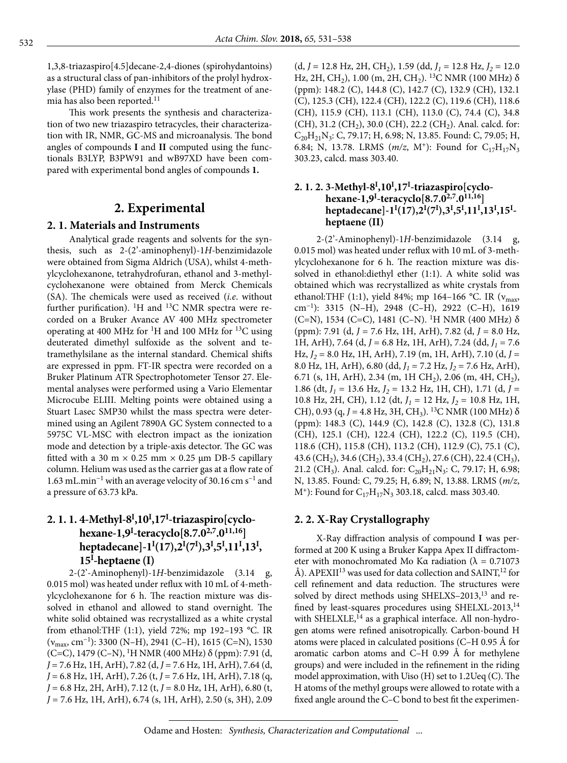1,3,8-triazaspiro[4.5]decane-2,4-diones (spirohydantoins) as a structural class of pan-inhibitors of the prolyl hydroxylase (PHD) family of enzymes for the treatment of anemia has also been reported.<sup>11</sup>

This work presents the synthesis and characterization of two new triazaspiro tetracycles, their characterization with IR, NMR, GC-MS and microanalysis. The bond angles of compounds **I** and **II** computed using the functionals B3LYP, B3PW91 and wB97XD have been compared with experimental bond angles of compounds **1.**

# **2. Experimental**

### **2. 1. Materials and Instruments**

Analytical grade reagents and solvents for the synthesis, such as 2-(2'-aminophenyl)-1*H*-benzimidazole were obtained from Sigma Aldrich (USA), whilst 4-methylcyclohexanone, tetrahydrofuran, ethanol and 3-methylcyclohexanone were obtained from Merck Chemicals (SA). The chemicals were used as received (*i.e*. without further purification).  ${}^{1}H$  and  ${}^{13}C$  NMR spectra were recorded on a Bruker Avance AV 400 MHz spectrometer operating at 400 MHz for <sup>1</sup>H and 100 MHz for <sup>13</sup>C using deuterated dimethyl sulfoxide as the solvent and tetramethylsilane as the internal standard. Chemical shifts are expressed in ppm. FT-IR spectra were recorded on a Bruker Platinum ATR Spectrophotometer Tensor 27. Elemental analyses were performed using a Vario Elementar Microcube ELIII. Melting points were obtained using a Stuart Lasec SMP30 whilst the mass spectra were determined using an Agilent 7890A GC System connected to a 5975C VL-MSC with electron impact as the ionization mode and detection by a triple-axis detector. The GC was fitted with a 30 m  $\times$  0.25 mm  $\times$  0.25 µm DB-5 capillary column. Helium was used as the carrier gas at a flow rate of 1.63 mL.min−1 with an average velocity of 30.16 cm s−1 and a pressure of 63.73 kPa.

# **2. 1. 1. 4-Methyl-8I ,10I ,17I -triazaspiro[cyclohexane-1,9I -teracyclo[8.7.02,7.011,16] heptadecane]-1I (17),2I (7I ),3I ,5I ,11I ,13I , 15I -heptaene (I)**

2-(2'-Aminophenyl)-1*H*-benzimidazole (3.14 g, 0.015 mol) was heated under reflux with 10 mL of 4-methylcyclohexanone for 6 h. The reaction mixture was dissolved in ethanol and allowed to stand overnight. The white solid obtained was recrystallized as a white crystal from ethanol:THF (1:1), yield 72%; mp 192–193 °C. IR  $(v_{\text{max}}, \text{cm}^{-1})$ : 3300 (N–H), 2941 (C–H), 1615 (C=N), 1530 (C=C), 1479 (C–N), <sup>1</sup>H NMR (400 MHz) δ (ppm): 7.91 (d, *J* = 7.6 Hz, 1H, ArH), 7.82 (d, *J* = 7.6 Hz, 1H, ArH), 7.64 (d, *J* = 6.8 Hz, 1H, ArH), 7.26 (t, *J* = 7.6 Hz, 1H, ArH), 7.18 (q, *J* = 6.8 Hz, 2H, ArH), 7.12 (t, *J* = 8.0 Hz, 1H, ArH), 6.80 (t, *J* = 7.6 Hz, 1H, ArH), 6.74 (s, 1H, ArH), 2.50 (s, 3H), 2.09  $(d, J = 12.8 \text{ Hz}, 2H, \text{CH}_2), 1.59 \text{ (dd, } J_1 = 12.8 \text{ Hz}, J_2 = 12.0$ Hz, 2H, CH<sub>2</sub>), 1.00 (m, 2H, CH<sub>2</sub>). <sup>13</sup>C NMR (100 MHz) δ (ppm): 148.2 (C), 144.8 (C), 142.7 (C), 132.9 (CH), 132.1 (C), 125.3 (CH), 122.4 (CH), 122.2 (C), 119.6 (CH), 118.6 (CH), 115.9 (CH), 113.1 (CH), 113.0 (C), 74.4 (C), 34.8 (CH), 31.2 (CH<sub>2</sub>), 30.0 (CH), 22.2 (CH<sub>2</sub>). Anal. calcd. for:  $C_{20}H_{21}N_3$ : C, 79.17; H, 6.98; N, 13.85. Found: C, 79.05; H, 6.84; N, 13.78. LRMS  $(m/z, M^+)$ : Found for C<sub>17</sub>H<sub>17</sub>N<sub>3</sub> 303.23, calcd. mass 303.40.

### **2. 1. 2. 3-Methyl-8<sup>I</sup> ,10<sup>I</sup> ,17I -triazaspiro[cyclohexane-1,9<sup>I</sup> -teracyclo[8.7.02,7.011,16] heptadecane]-1I (17),2I (7I ),3I ,5I ,11I ,13I ,15I heptaene (II)**

2-(2'-Aminophenyl)-1*H*-benzimidazole (3.14 g, 0.015 mol) was heated under reflux with 10 mL of 3-methylcyclohexanone for 6 h. The reaction mixture was dissolved in ethanol:diethyl ether (1:1). A white solid was obtained which was recrystallized as white crystals from ethanol:THF (1:1), yield 84%; mp 164–166 °C. IR ( $v_{\text{max}}$ , cm−1): 3315 (N–H), 2948 (C–H), 2922 (C–H), 1619 (C=N), 1534 (C=C), 1481 (C–N). <sup>1</sup>H NMR (400 MHz)  $\delta$ (ppm): 7.91 (d, *J* = 7.6 Hz, 1H, ArH), 7.82 (d, *J* = 8.0 Hz, 1H, ArH), 7.64 (d, *J* = 6.8 Hz, 1H, ArH), 7.24 (dd, *J1* = 7.6 Hz, *J2* = 8.0 Hz, 1H, ArH), 7.19 (m, 1H, ArH), 7.10 (d, *J* = 8.0 Hz, 1H, ArH), 6.80 (dd, *J1* = 7.2 Hz, *J2* = 7.6 Hz, ArH), 6.71 (s, 1H, ArH), 2.34 (m, 1H CH<sub>2</sub>), 2.06 (m, 4H, CH<sub>2</sub>), 1.86 (dt, *J1* = 13.6 Hz, *J2* = 13.2 Hz, 1H, CH), 1.71 (d, *J* = 10.8 Hz, 2H, CH), 1.12 (dt, *J1* = 12 Hz, *J2* = 10.8 Hz, 1H, CH), 0.93 (q,  $J = 4.8$  Hz, 3H, CH<sub>3</sub>). <sup>13</sup>C NMR (100 MHz)  $\delta$ (ppm): 148.3 (C), 144.9 (C), 142.8 (C), 132.8 (C), 131.8 (CH), 125.1 (CH), 122.4 (CH), 122.2 (C), 119.5 (CH), 118.6 (CH), 115.8 (CH), 113.2 (CH), 112.9 (C), 75.1 (C), 43.6 (CH<sub>2</sub>), 34.6 (CH<sub>2</sub>), 33.4 (CH<sub>2</sub>), 27.6 (CH), 22.4 (CH<sub>3</sub>), 21.2 (CH<sub>3</sub>). Anal. calcd. for:  $C_{20}H_{21}N_3$ : C, 79.17; H, 6.98; N, 13.85. Found: C, 79.25; H, 6.89; N, 13.88. LRMS (*m/z*,  $M^+$ : Found for  $C_{17}H_{17}N_3$  303.18, calcd. mass 303.40.

## **2. 2. X-Ray Crystallography**

X-Ray diffraction analysis of compound **I** was performed at 200 K using a Bruker Kappa Apex II diffractometer with monochromated Mo Kα radiation ( $\lambda = 0.71073$ Å). APEXII<sup>13</sup> was used for data collection and SAINT,<sup>12</sup> for cell refinement and data reduction. The structures were solved by direct methods using SHELXS–2013,13 and refined by least-squares procedures using SHELXL-2013,<sup>14</sup> with SHELXLE,<sup>14</sup> as a graphical interface. All non-hydrogen atoms were refined anisotropically. Carbon-bound H atoms were placed in calculated positions (C–H 0.95 Å for aromatic carbon atoms and C–H 0.99 Å for methylene groups) and were included in the refinement in the riding model approximation, with Uiso (H) set to 1.2Ueq (C). The H atoms of the methyl groups were allowed to rotate with a fixed angle around the C–C bond to best fit the experimen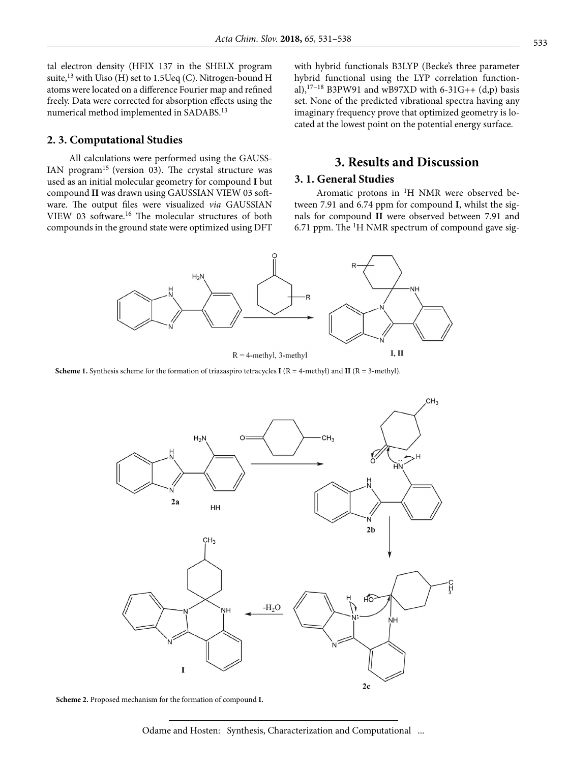tal electron density (HFIX 137 in the SHELX program suite, $13$  with Uiso (H) set to 1.5 Ueq (C). Nitrogen-bound H atoms were located on a difference Fourier map and refined freely. Data were corrected for absorption effects using the numerical method implemented in SADABS.13

#### **2. 3. Computational Studies**

All calculations were performed using the GAUSS-IAN program<sup>15</sup> (version 03). The crystal structure was used as an initial molecular geometry for compound **I** but compound **II** was drawn using GAUSSIAN VIEW 03 software. The output files were visualized *via* GAUSSIAN VIEW 03 software.16 The molecular structures of both compounds in the ground state were optimized using DFT with hybrid functionals B3LYP (Becke's three parameter hybrid functional using the LYP correlation functional),17−18 B3PW91 and wB97XD with 6-31G++ (d,p) basis set. None of the predicted vibrational spectra having any imaginary frequency prove that optimized geometry is located at the lowest point on the potential energy surface.

# **3. Results and Discussion**

#### **3. 1. General Studies**

Aromatic protons in  ${}^{1}H$  NMR were observed between 7.91 and 6.74 ppm for compound **I**, whilst the signals for compound **II** were observed between 7.91 and 6.71 ppm. The  ${}^{1}$ H NMR spectrum of compound gave sig-



**Scheme 1.** Synthesis scheme for the formation of triazaspiro tetracycles **I** (R = 4-methyl) and **II** (R = 3-methyl).



**Scheme 2.** Proposed mechanism for the formation of compound **I.**

Odame and Hosten: Synthesis, Characterization and Computational ...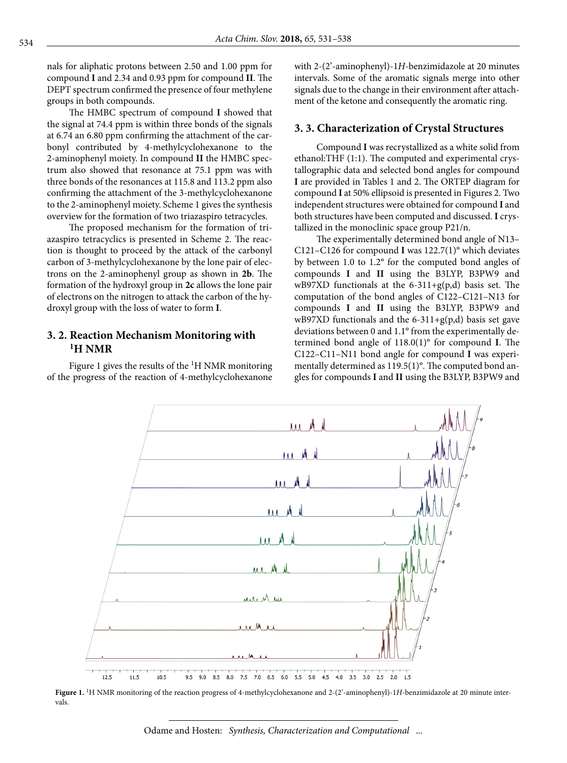nals for aliphatic protons between 2.50 and 1.00 ppm for compound **I** and 2.34 and 0.93 ppm for compound **II**. The DEPT spectrum confirmed the presence of four methylene groups in both compounds.

The HMBC spectrum of compound **I** showed that the signal at 74.4 ppm is within three bonds of the signals at 6.74 an 6.80 ppm confirming the attachment of the carbonyl contributed by 4-methylcyclohexanone to the 2-aminophenyl moiety. In compound **II** the HMBC spectrum also showed that resonance at 75.1 ppm was with three bonds of the resonances at 115.8 and 113.2 ppm also confirming the attachment of the 3-methylcyclohexanone to the 2-aminophenyl moiety. Scheme 1 gives the synthesis overview for the formation of two triazaspiro tetracycles.

The proposed mechanism for the formation of triazaspiro tetracyclics is presented in Scheme 2. The reaction is thought to proceed by the attack of the carbonyl carbon of 3-methylcyclohexanone by the lone pair of electrons on the 2-aminophenyl group as shown in **2b**. The formation of the hydroxyl group in **2c** allows the lone pair of electrons on the nitrogen to attack the carbon of the hydroxyl group with the loss of water to form **I**.

### **3. 2. Reaction Mechanism Monitoring with 1H NMR**

Figure 1 gives the results of the  ${}^{1}$ H NMR monitoring of the progress of the reaction of 4-methylcyclohexanone with 2-(2'-aminophenyl)-1*H*-benzimidazole at 20 minutes intervals. Some of the aromatic signals merge into other signals due to the change in their environment after attachment of the ketone and consequently the aromatic ring.

#### **3. 3. Characterization of Crystal Structures**

Compound **I** was recrystallized as a white solid from ethanol:THF (1:1). The computed and experimental crystallographic data and selected bond angles for compound **I** are provided in Tables 1 and 2. The ORTEP diagram for compound **I** at 50% ellipsoid is presented in Figures 2. Two independent structures were obtained for compound **I** and both structures have been computed and discussed. **I** crystallized in the monoclinic space group P21/n.

The experimentally determined bond angle of N13– C121–C126 for compound **I** was 122.7(1)° which deviates by between 1.0 to 1.2° for the computed bond angles of compounds **I** and **II** using the B3LYP, B3PW9 and wB97XD functionals at the  $6-311+g(p,d)$  basis set. The computation of the bond angles of C122–C121–N13 for compounds **I** and **II** using the B3LYP, B3PW9 and wB97XD functionals and the  $6-311+g(p,d)$  basis set gave deviations between 0 and 1.1° from the experimentally determined bond angle of 118.0(1)° for compound **I**. The C122–C11–N11 bond angle for compound **I** was experimentally determined as 119.5(1)°. The computed bond angles for compounds **I** and **II** using the B3LYP, B3PW9 and



**Figure 1.** 1H NMR monitoring of the reaction progress of 4-methylcyclohexanone and 2-(2'-aminophenyl)-1*H*-benzimidazole at 20 minute intervals.

Odame and Hosten: *Synthesis, Characterization and Computational* ...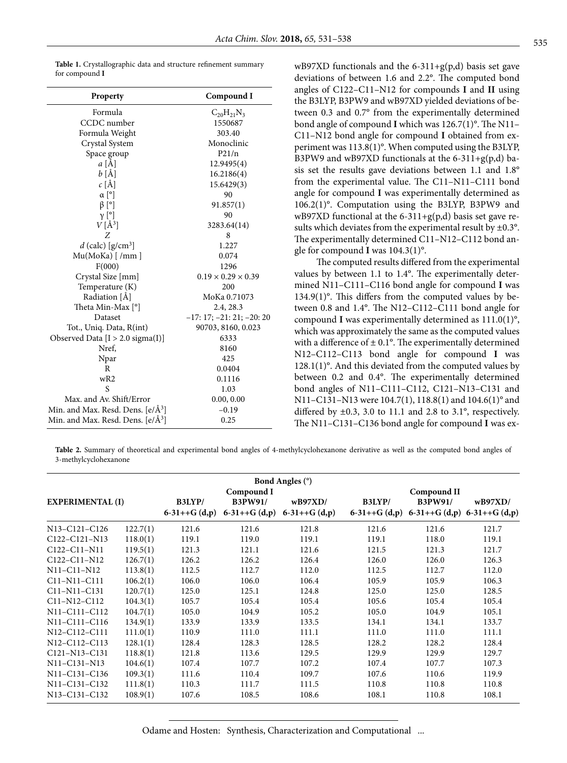| Property                                      | Compound I                     |
|-----------------------------------------------|--------------------------------|
| Formula                                       | $C_{20}H_{21}N_3$              |
| CCDC number                                   | 1550687                        |
| Formula Weight                                | 303.40                         |
| Crystal System                                | Monoclinic                     |
| Space group                                   | P21/n                          |
| $a \overrightarrow{[A]}$                      | 12.9495(4)                     |
| $b\ [\AA]$                                    | 16.2186(4)                     |
| $c \text{ [Å]}$                               | 15.6429(3)                     |
| $\alpha$ [°]                                  | 90                             |
| $\beta$ [°]                                   | 91.857(1)                      |
| $\gamma$ [°]                                  | 90                             |
| $V[\AA^3]$                                    | 3283.64(14)                    |
| Z                                             | 8                              |
| $d$ (calc) [g/cm <sup>3</sup> ]               | 1.227                          |
| Mu(MoKa) [/mm]                                | 0.074                          |
| F(000)                                        | 1296                           |
| Crystal Size [mm]                             | $0.19 \times 0.29 \times 0.39$ |
| Temperature (K)                               | 200                            |
| Radiation [Å]                                 | MoKa 0.71073                   |
| Theta Min-Max <sup>[°]</sup>                  | 2.4, 28.3                      |
| Dataset                                       | $-17: 17; -21: 21; -20: 20$    |
| Tot., Uniq. Data, R(int)                      | 90703, 8160, 0.023             |
| Observed Data [I > 2.0 sigma(I)]              | 6333                           |
| Nref.                                         | 8160                           |
| Npar                                          | 425                            |
| R                                             | 0.0404                         |
| wR2                                           | 0.1116                         |
| S                                             | 1.03                           |
| Max. and Av. Shift/Error                      | 0.00, 0.00                     |
| Min. and Max. Resd. Dens. [e/Å <sup>3</sup> ] | $-0.19$                        |
| Min. and Max. Resd. Dens. [e/Å <sup>3</sup> ] | 0.25                           |

wB97XD functionals and the 6-311+g(p,d) basis set gave deviations of between 1.6 and 2.2°. The computed bond angles of C122–C11–N12 for compounds **I** and **II** using the B3LYP, B3PW9 and wB97XD yielded deviations of between 0.3 and 0.7° from the experimentally determined bond angle of compound **I** which was 126.7(1)°. The N11– C11–N12 bond angle for compound **I** obtained from experiment was 113.8(1)°. When computed using the B3LYP, B3PW9 and wB97XD functionals at the  $6-311+g(p,d)$  basis set the results gave deviations between 1.1 and 1.8° from the experimental value. The C11–N11–C111 bond angle for compound **I** was experimentally determined as 106.2(1)°. Computation using the B3LYP, B3PW9 and wB97XD functional at the  $6-311+g(p,d)$  basis set gave results which deviates from the experimental result by  $\pm 0.3^{\circ}$ . The experimentally determined C11–N12–C112 bond angle for compound **I** was 104.3(1)°.

The computed results differed from the experimental values by between 1.1 to 1.4°. The experimentally determined N11–C111–C116 bond angle for compound **I** was  $134.9(1)$ °. This differs from the computed values by between 0.8 and 1.4°. The N12–C112–C111 bond angle for compound **I** was experimentally determined as 111.0(1)°, which was approximately the same as the computed values with a difference of  $\pm$  0.1°. The experimentally determined N12–C112–C113 bond angle for compound **I** was 128.1(1)°. And this deviated from the computed values by between 0.2 and 0.4°. The experimentally determined bond angles of N11–C111–C112, C121–N13–C131 and N11–C131–N13 were 104.7(1), 118.8(1) and 104.6(1)° and differed by  $\pm 0.3$ , 3.0 to 11.1 and 2.8 to 3.1°, respectively. The N11–C131–C136 bond angle for compound **I** was ex-

Table 2. Summary of theoretical and experimental bond angles of 4-methylcyclohexanone derivative as well as the computed bond angles of 3-methylcyclohexanone

| <b>Bond Angles (°)</b>                              |          |                          |                                                |                           |        |                                                                                  |         |  |  |  |
|-----------------------------------------------------|----------|--------------------------|------------------------------------------------|---------------------------|--------|----------------------------------------------------------------------------------|---------|--|--|--|
| <b>EXPERIMENTAL (I)</b>                             |          | B3LYP/<br>$6-31++G(d,p)$ | Compound I<br><b>B3PW91/</b><br>$6-31++G(d,p)$ | wB97XD/<br>$6-31++G(d,p)$ | B3LYP/ | Compound II<br><b>B3PW91/</b><br>6-31++G $(d,p)$ 6-31++G $(d,p)$ 6-31++G $(d,p)$ | wB97XD/ |  |  |  |
| N13-C121-C126                                       | 122.7(1) | 121.6                    | 121.6                                          | 121.8                     | 121.6  | 121.6                                                                            | 121.7   |  |  |  |
| C122-C121-N13                                       | 118.0(1) | 119.1                    | 119.0                                          | 119.1                     | 119.1  | 118.0                                                                            | 119.1   |  |  |  |
| C122-C11-N11                                        | 119.5(1) | 121.3                    | 121.1                                          | 121.6                     | 121.5  | 121.3                                                                            | 121.7   |  |  |  |
| C122-C11-N12                                        | 126.7(1) | 126.2                    | 126.2                                          | 126.4                     | 126.0  | 126.0                                                                            | 126.3   |  |  |  |
| N11-C11-N12                                         | 113.8(1) | 112.5                    | 112.7                                          | 112.0                     | 112.5  | 112.7                                                                            | 112.0   |  |  |  |
| C11-N11-C111                                        | 106.2(1) | 106.0                    | 106.0                                          | 106.4                     | 105.9  | 105.9                                                                            | 106.3   |  |  |  |
| C <sub>11</sub> -N <sub>11</sub> -C <sub>131</sub>  | 120.7(1) | 125.0                    | 125.1                                          | 124.8                     | 125.0  | 125.0                                                                            | 128.5   |  |  |  |
| C11-N12-C112                                        | 104.3(1) | 105.7                    | 105.4                                          | 105.4                     | 105.6  | 105.4                                                                            | 105.4   |  |  |  |
| N11-C111-C112                                       | 104.7(1) | 105.0                    | 104.9                                          | 105.2                     | 105.0  | 104.9                                                                            | 105.1   |  |  |  |
| N11-C111-C116                                       | 134.9(1) | 133.9                    | 133.9                                          | 133.5                     | 134.1  | 134.1                                                                            | 133.7   |  |  |  |
| N12-C112-C111                                       | 111.0(1) | 110.9                    | 111.0                                          | 111.1                     | 111.0  | 111.0                                                                            | 111.1   |  |  |  |
| N12-C112-C113                                       | 128.1(1) | 128.4                    | 128.3                                          | 128.5                     | 128.2  | 128.2                                                                            | 128.4   |  |  |  |
| C <sub>121</sub> -N <sub>13</sub> -C <sub>131</sub> | 118.8(1) | 121.8                    | 113.6                                          | 129.5                     | 129.9  | 129.9                                                                            | 129.7   |  |  |  |
| N11-C131-N13                                        | 104.6(1) | 107.4                    | 107.7                                          | 107.2                     | 107.4  | 107.7                                                                            | 107.3   |  |  |  |
| N11-C131-C136                                       | 109.3(1) | 111.6                    | 110.4                                          | 109.7                     | 107.6  | 110.6                                                                            | 119.9   |  |  |  |
| N11-C131-C132                                       | 111.8(1) | 110.3                    | 111.7                                          | 111.5                     | 110.8  | 110.8                                                                            | 110.8   |  |  |  |
| N13-C131-C132                                       | 108.9(1) | 107.6                    | 108.5                                          | 108.6                     | 108.1  | 110.8                                                                            | 108.1   |  |  |  |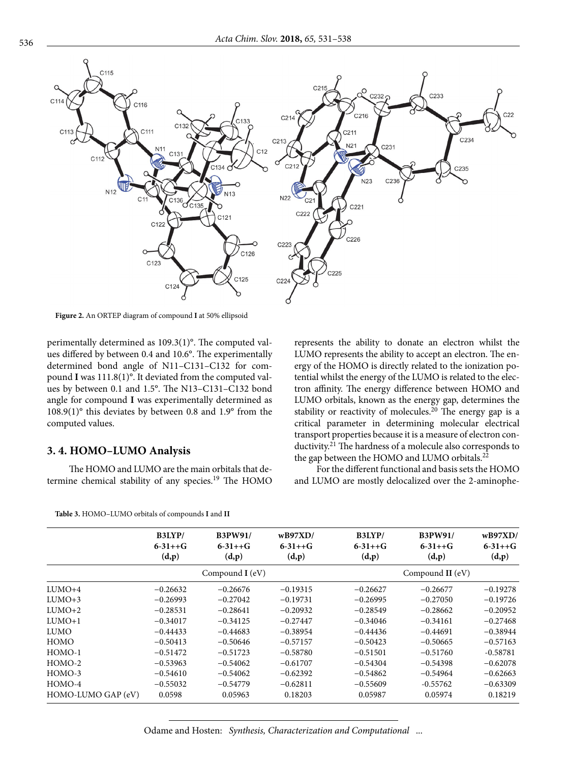

**Figure 2.** An ORTEP diagram of compound **I** at 50% ellipsoid

perimentally determined as 109.3(1)°. The computed values differed by between 0.4 and 10.6°. The experimentally determined bond angle of N11–C131–C132 for compound **I** was 111.8(1)°. It deviated from the computed values by between 0.1 and 1.5°. The N13–C131–C132 bond angle for compound **I** was experimentally determined as 108.9(1)° this deviates by between 0.8 and 1.9° from the computed values.

#### **3. 4. HOMO–LUMO Analysis**

The HOMO and LUMO are the main orbitals that determine chemical stability of any species.<sup>19</sup> The HOMO

represents the ability to donate an electron whilst the LUMO represents the ability to accept an electron. The energy of the HOMO is directly related to the ionization potential whilst the energy of the LUMO is related to the electron affinity. The energy difference between HOMO and LUMO orbitals, known as the energy gap, determines the stability or reactivity of molecules.<sup>20</sup> The energy gap is a critical parameter in determining molecular electrical transport properties because it is a measure of electron conductivity.21 The hardness of a molecule also corresponds to the gap between the HOMO and LUMO orbitals.<sup>22</sup>

For the different functional and basis sets the HOMO and LUMO are mostly delocalized over the 2-aminophe-

|                    | B3LYP/<br>$6 - 31 + 6$<br>(d,p) | <b>B3PW91/</b><br>$6 - 31 + 6$<br>(d,p) | $w$ B97XD/<br>$6 - 31 + 6$<br>(d,p) | B3LYP/<br>$6 - 31 + 6$<br>(d,p) | <b>B3PW91/</b><br>$6 - 31 + 6$<br>(d,p) | wB97XD/<br>$6 - 31 + 6$<br>(d,p) |  |
|--------------------|---------------------------------|-----------------------------------------|-------------------------------------|---------------------------------|-----------------------------------------|----------------------------------|--|
|                    |                                 |                                         |                                     |                                 |                                         |                                  |  |
|                    | Compound I (eV)                 |                                         |                                     | Compound II (eV)                |                                         |                                  |  |
| $LUMO+4$           | $-0.26632$                      | $-0.26676$                              | $-0.19315$                          | $-0.26627$                      | $-0.26677$                              | $-0.19278$                       |  |
| $LUMO+3$           | $-0.26993$                      | $-0.27042$                              | $-0.19731$                          | $-0.26995$                      | $-0.27050$                              | $-0.19726$                       |  |
| $LUMO+2$           | $-0.28531$                      | $-0.28641$                              | $-0.20932$                          | $-0.28549$                      | $-0.28662$                              | $-0.20952$                       |  |
| $LUMO+1$           | $-0.34017$                      | $-0.34125$                              | $-0.27447$                          | $-0.34046$                      | $-0.34161$                              | $-0.27468$                       |  |
| <b>LUMO</b>        | $-0.44433$                      | $-0.44683$                              | $-0.38954$                          | $-0.44436$                      | $-0.44691$                              | $-0.38944$                       |  |
| HOMO               | $-0.50413$                      | $-0.50646$                              | $-0.57157$                          | $-0.50423$                      | $-0.50665$                              | $-0.57163$                       |  |
| HOMO-1             | $-0.51472$                      | $-0.51723$                              | $-0.58780$                          | $-0.51501$                      | $-0.51760$                              | $-0.58781$                       |  |
| HOMO-2             | $-0.53963$                      | $-0.54062$                              | $-0.61707$                          | $-0.54304$                      | $-0.54398$                              | $-0.62078$                       |  |
| HOMO-3             | $-0.54610$                      | $-0.54062$                              | $-0.62392$                          | $-0.54862$                      | $-0.54964$                              | $-0.62663$                       |  |
| HOMO-4             | $-0.55032$                      | $-0.54779$                              | $-0.62811$                          | $-0.55609$                      | $-0.55762$                              | $-0.63309$                       |  |
| HOMO-LUMO GAP (eV) | 0.0598                          | 0.05963                                 | 0.18203                             | 0.05987                         | 0.05974                                 | 0.18219                          |  |

**Table 3.** HOMO–LUMO orbitals of compounds **I** and **II**

Odame and Hosten: *Synthesis, Characterization and Computational* ...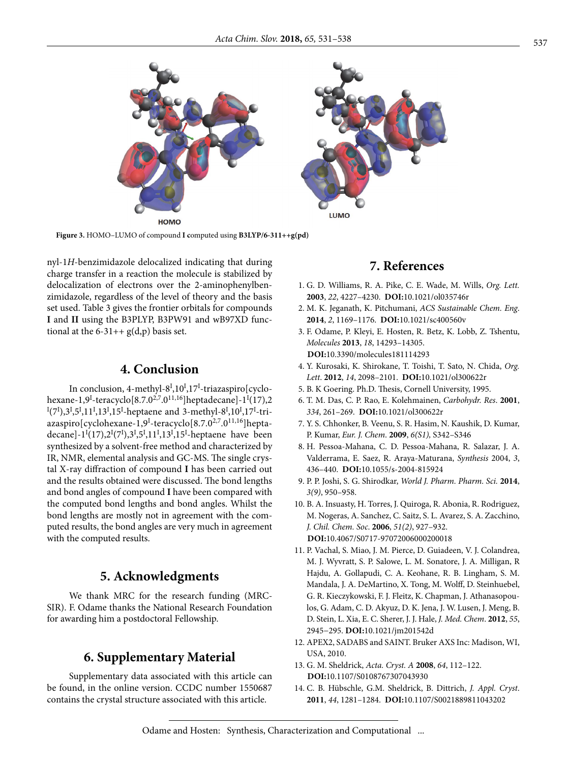

**Figure 3.** HOMO–LUMO of compound **I c**omputed using **B3LYP/6-311++g(pd)**

nyl-1*H*-benzimidazole delocalized indicating that during charge transfer in a reaction the molecule is stabilized by delocalization of electrons over the 2-aminophenylbenzimidazole, regardless of the level of theory and the basis set used. Table 3 gives the frontier orbitals for compounds **I** and **II** using the B3PLYP, B3PW91 and wB97XD functional at the  $6-31++ g(d,p)$  basis set.

# **4. Conclusion**

In conclusion, 4-methyl-8<sup>I</sup>,10<sup>I</sup>,17<sup>I</sup>-triazaspiro[cyclohexane-1,9<sup>I</sup>-teracyclo[8.7.0<sup>2,7</sup>.0<sup>11,16</sup>]heptadecane]-1<sup>I</sup>(17),2  $\mathrm{I}(7^\mathrm{I}),$ 3 $\mathrm{I},5^\mathrm{I},11^\mathrm{I},13^\mathrm{I},15^\mathrm{I}$ -heptaene and 3-methyl-8 $\mathrm{I},10^\mathrm{I},17^\mathrm{I}$ -triazaspiro[cyclohexane-1,9<sup>1</sup>-teracyclo[8.7.0<sup>2,7</sup>.0<sup>11,16</sup>]heptadecane]- $1^{I}(17), 2^{I}(7^{I}), 3^{I}, 5^{I}, 11^{I}, 13^{I}, 15^{I}$ -heptaene have been synthesized by a solvent-free method and characterized by IR, NMR, elemental analysis and GC-MS. The single crystal X-ray diffraction of compound **I** has been carried out and the results obtained were discussed. The bond lengths and bond angles of compound **I** have been compared with the computed bond lengths and bond angles. Whilst the bond lengths are mostly not in agreement with the computed results, the bond angles are very much in agreement with the computed results.

## **5. Acknowledgments**

We thank MRC for the research funding (MRC-SIR). F. Odame thanks the National Research Foundation for awarding him a postdoctoral Fellowship.

# **6. Supplementary Material**

Supplementary data associated with this article can be found, in the online version. CCDC number 1550687 contains the crystal structure associated with this article.

# **7. References**

- 1. G. D. Williams, R. A. Pike, C. E. Wade, M. Wills, *Org. Lett.* **2003**, *22*, 4227–4230. **DOI:**10.1021/ol035746r
- 2. M. K. Jeganath, K. Pitchumani, *ACS Sustainable Chem. Eng*. **2014**, *2*, 1169–1176. **DOI:**10.1021/sc400560v
- 3. F. Odame, P. Kleyi, E. Hosten, R. Betz, K. Lobb, Z. Tshentu, *Molecules* **2013**, *18*, 14293–14305. **DOI:**10.3390/molecules181114293
- 4. Y. Kurosaki, K. Shirokane, T. Toishi, T. Sato, N. Chida, *Org. Lett*. **2012**, *14*, 2098–2101. **DOI:**10.1021/ol300622r
- 5. B. K Goering. Ph.D. Thesis, Cornell University, 1995.
- 6. T. M. Das, C. P. Rao, E. Kolehmainen, *Carbohydr. Res*. **2001**, *334*, 261–269. **DOI:**10.1021/ol300622r
- 7. Y. S. Chhonker, B. Veenu, S. R. Hasim, N. Kaushik, D. Kumar, P. Kumar, *Eur. J. Chem*. **2009**, *6(S1),* S342–S346
- 8. H. Pessoa-Mahana, C. D. Pessoa-Mahana, R. Salazar, J. A. Valderrama, E. Saez, R. Araya-Maturana, *Synthesis* 2004, *3*, 436–440. **DOI:**10.1055/s-2004-815924
- 9. P. P. Joshi, S. G. Shirodkar, *World J. Pharm. Pharm. Sci.* **2014**, *3(9)*, 950–958.
- 10. B. A. Insuasty, H. Torres, J. Quiroga, R. Abonia, R. Rodriguez, M. Nogeras, A. Sanchez, C. Saitz, S. L. Avarez, S. A. Zacchino, *J. Chil. Chem. Soc*. **2006**, *51(2)*, 927–932. **DOI:**10.4067/S0717-97072006000200018
- 11. P. Vachal, S. Miao, J. M. Pierce, D. Guiadeen, V. J. Colandrea, M. J. Wyvratt, S. P. Salowe, L. M. Sonatore, J. A. Milligan, R Hajdu, A. Gollapudi, C. A. Keohane, R. B. Lingham, S. M. Mandala, J. A. DeMartino, X. Tong, M. Wolff, D. Steinhuebel, G. R. Kieczykowski, F. J. Fleitz, K. Chapman, J. Athanasopoulos, G. Adam, C. D. Akyuz, D. K. Jena, J. W. Lusen, J. Meng, B. D. Stein, L. Xia, E. C. Sherer, J. J. Hale, *J. Med. Chem*. **2012**, *55*, 2945−295. **DOI:**10.1021/jm201542d
- 12. APEX2, SADABS and SAINT. Bruker AXS Inc: Madison, WI, USA, 2010.
- 13. G. M. Sheldrick, *Acta. Cryst. A* **2008**, *64*, 112–122. **DOI:**10.1107/S0108767307043930
- 14. C. B. Hübschle, G.M. Sheldrick, B. Dittrich, *J. Appl. Cryst*. **2011**, *44*, 1281–1284. **DOI:**10.1107/S0021889811043202